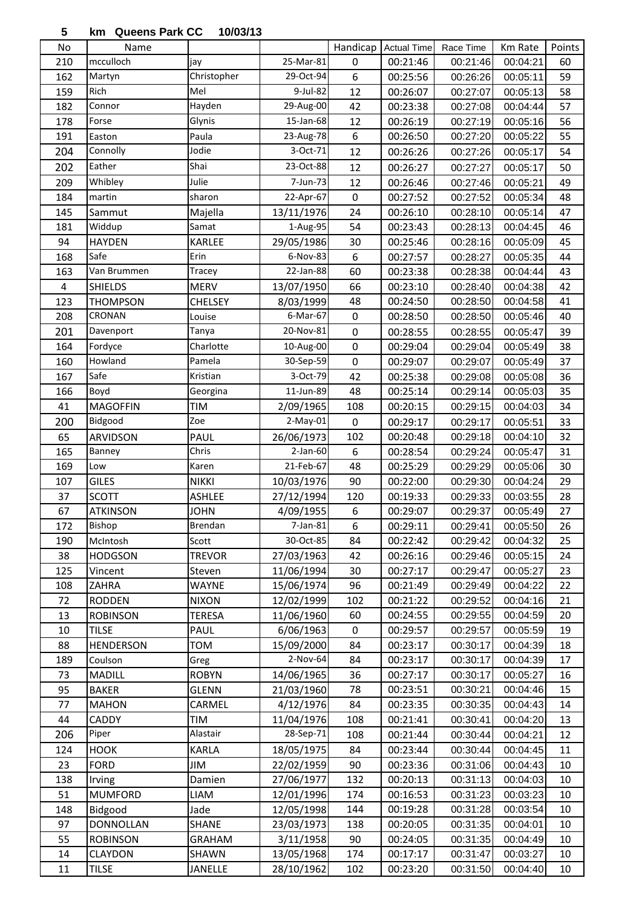## **km Queens Park CC 10/03/13**

| No        | Name                     |                |            | Handicap         | <b>Actual Time</b>   | Race Time            | Km Rate  | Points |
|-----------|--------------------------|----------------|------------|------------------|----------------------|----------------------|----------|--------|
| 210       | mcculloch                | jay            | 25-Mar-81  | $\mathbf 0$      | 00:21:46             | 00:21:46             | 00:04:21 | 60     |
| 162       | Martyn                   | Christopher    | 29-Oct-94  | $\boldsymbol{6}$ | 00:25:56             | 00:26:26             | 00:05:11 | 59     |
| 159       | Rich                     | Mel            | 9-Jul-82   | 12               | 00:26:07             | 00:27:07             | 00:05:13 | 58     |
| 182       | Connor                   | Hayden         | 29-Aug-00  | 42               | 00:23:38             | 00:27:08             | 00:04:44 | 57     |
| 178       | Forse                    | Glynis         | 15-Jan-68  | 12               | 00:26:19             | 00:27:19             | 00:05:16 | 56     |
| 191       | Easton                   | Paula          | 23-Aug-78  | $\boldsymbol{6}$ | 00:26:50             | 00:27:20             | 00:05:22 | 55     |
| 204       | Connolly                 | Jodie          | 3-Oct-71   | 12               | 00:26:26             | 00:27:26             | 00:05:17 | 54     |
| 202       | Eather                   | Shai           | 23-Oct-88  | 12               | 00:26:27             | 00:27:27             | 00:05:17 | 50     |
| 209       | Whibley                  | Julie          | 7-Jun-73   | 12               | 00:26:46             | 00:27:46             | 00:05:21 | 49     |
| 184       | martin                   | sharon         | 22-Apr-67  | $\boldsymbol{0}$ | 00:27:52             | 00:27:52             | 00:05:34 | 48     |
| 145       | Sammut                   | Majella        | 13/11/1976 | 24               | 00:26:10             | 00:28:10             | 00:05:14 | 47     |
| 181       | Widdup                   | Samat          | 1-Aug-95   | 54               | 00:23:43             | 00:28:13             | 00:04:45 | 46     |
| 94        | <b>HAYDEN</b>            | KARLEE         | 29/05/1986 | 30               | 00:25:46             | 00:28:16             | 00:05:09 | 45     |
| 168       | Safe                     | Erin           | 6-Nov-83   | $\boldsymbol{6}$ | 00:27:57             | 00:28:27             | 00:05:35 | 44     |
| 163       | Van Brummen              | Tracey         | 22-Jan-88  | 60               | 00:23:38             | 00:28:38             | 00:04:44 | 43     |
| $\pmb{4}$ | <b>SHIELDS</b>           | <b>MERV</b>    | 13/07/1950 | 66               | 00:23:10             | 00:28:40             | 00:04:38 | 42     |
| 123       | THOMPSON                 | <b>CHELSEY</b> | 8/03/1999  | 48               | 00:24:50             | 00:28:50             | 00:04:58 | 41     |
| 208       | CRONAN                   | Louise         | 6-Mar-67   | $\pmb{0}$        | 00:28:50             | 00:28:50             | 00:05:46 | 40     |
| 201       | Davenport                | Tanya          | 20-Nov-81  | $\pmb{0}$        | 00:28:55             | 00:28:55             | 00:05:47 | 39     |
| 164       | Fordyce                  | Charlotte      | 10-Aug-00  | $\mathbf 0$      | 00:29:04             | 00:29:04             | 00:05:49 | 38     |
| 160       | Howland                  | Pamela         | 30-Sep-59  | $\mathbf 0$      | 00:29:07             | 00:29:07             | 00:05:49 | 37     |
| 167       | Safe                     | Kristian       | 3-Oct-79   | 42               | 00:25:38             | 00:29:08             | 00:05:08 | 36     |
| 166       | Boyd                     | Georgina       | 11-Jun-89  | 48               | 00:25:14             | 00:29:14             | 00:05:03 | 35     |
| 41        | <b>MAGOFFIN</b>          | TIM            | 2/09/1965  | 108              | 00:20:15             | 00:29:15             | 00:04:03 | 34     |
| 200       | Bidgood                  | Zoe            | 2-May-01   | $\boldsymbol{0}$ | 00:29:17             | 00:29:17             | 00:05:51 | 33     |
| 65        | <b>ARVIDSON</b>          | PAUL           | 26/06/1973 | 102              | 00:20:48             | 00:29:18             | 00:04:10 | 32     |
| 165       | Banney                   | Chris          | 2-Jan-60   | $\boldsymbol{6}$ | 00:28:54             | 00:29:24             | 00:05:47 | 31     |
| 169       | Low                      | Karen          | 21-Feb-67  | 48               | 00:25:29             | 00:29:29             | 00:05:06 | 30     |
| 107       | <b>GILES</b>             | <b>NIKKI</b>   | 10/03/1976 | 90               | 00:22:00             | 00:29:30             | 00:04:24 | 29     |
| 37        | <b>SCOTT</b>             | <b>ASHLEE</b>  | 27/12/1994 | 120              | 00:19:33             | 00:29:33             | 00:03:55 | 28     |
| 67        | <b>ATKINSON</b>          | <b>JOHN</b>    | 4/09/1955  | 6                | 00:29:07             | 00:29:37             | 00:05:49 | 27     |
| 172       | <b>Bishop</b>            | Brendan        | 7-Jan-81   | 6                | 00:29:11             | 00:29:41             | 00:05:50 | 26     |
| 190       | McIntosh                 | Scott          | 30-Oct-85  | 84               | 00:22:42             | 00:29:42             | 00:04:32 | 25     |
| 38        | HODGSON                  | <b>TREVOR</b>  | 27/03/1963 | 42               | 00:26:16             | 00:29:46             | 00:05:15 | 24     |
| 125       | Vincent                  | Steven         | 11/06/1994 | 30               | 00:27:17             | 00:29:47             | 00:05:27 | 23     |
| 108       | ZAHRA                    | <b>WAYNE</b>   | 15/06/1974 | 96               | 00:21:49             | 00:29:49             | 00:04:22 | 22     |
| 72        | <b>RODDEN</b>            | <b>NIXON</b>   | 12/02/1999 | 102              | 00:21:22             | 00:29:52             | 00:04:16 | 21     |
| 13        | <b>ROBINSON</b>          | <b>TERESA</b>  | 11/06/1960 | 60               | 00:24:55             | 00:29:55             | 00:04:59 | 20     |
| $10\,$    | <b>TILSE</b>             | PAUL           | 6/06/1963  | $\pmb{0}$        | 00:29:57             | 00:29:57             | 00:05:59 | 19     |
| 88        | <b>HENDERSON</b>         | <b>TOM</b>     | 15/09/2000 | 84               | 00:23:17             | 00:30:17             | 00:04:39 | 18     |
| 189       | Coulson                  | Greg           | 2-Nov-64   | 84               | 00:23:17             | 00:30:17             | 00:04:39 | 17     |
| 73        | MADILL                   | <b>ROBYN</b>   | 14/06/1965 | 36               | 00:27:17             | 00:30:17             | 00:05:27 | 16     |
| 95        | <b>BAKER</b>             | <b>GLENN</b>   | 21/03/1960 | 78               | 00:23:51             | 00:30:21             | 00:04:46 | 15     |
| 77        | <b>MAHON</b>             | CARMEL         | 4/12/1976  | 84               | 00:23:35             | 00:30:35             | 00:04:43 | 14     |
| 44        | CADDY                    | TIM            | 11/04/1976 | 108              | 00:21:41             | 00:30:41             | 00:04:20 | 13     |
| 206       | Piper                    | Alastair       | 28-Sep-71  | 108              | 00:21:44             | 00:30:44             | 00:04:21 | 12     |
| 124       | <b>HOOK</b>              | <b>KARLA</b>   | 18/05/1975 |                  | 00:23:44             | 00:30:44             | 00:04:45 | 11     |
| 23        | <b>FORD</b>              | JIM            | 22/02/1959 | 84<br>90         | 00:23:36             | 00:31:06             | 00:04:43 | 10     |
| 138       |                          |                | 27/06/1977 | 132              | 00:20:13             | 00:31:13             | 00:04:03 | 10     |
| 51        | Irving<br><b>MUMFORD</b> | Damien<br>LIAM | 12/01/1996 | 174              | 00:16:53             | 00:31:23             | 00:03:23 | 10     |
|           |                          |                | 12/05/1998 |                  |                      |                      | 00:03:54 |        |
| 148<br>97 | Bidgood                  | Jade           |            | 144              | 00:19:28<br>00:20:05 | 00:31:28<br>00:31:35 | 00:04:01 | 10     |
| 55        | <b>DONNOLLAN</b>         | <b>SHANE</b>   | 23/03/1973 | 138              |                      |                      |          | 10     |
|           | <b>ROBINSON</b>          | <b>GRAHAM</b>  | 3/11/1958  | 90               | 00:24:05             | 00:31:35             | 00:04:49 | 10     |
| 14        | <b>CLAYDON</b>           | SHAWN          | 13/05/1968 | 174              | 00:17:17             | 00:31:47             | 00:03:27 | 10     |
| 11        | <b>TILSE</b>             | <b>JANELLE</b> | 28/10/1962 | 102              | 00:23:20             | 00:31:50             | 00:04:40 | $10\,$ |